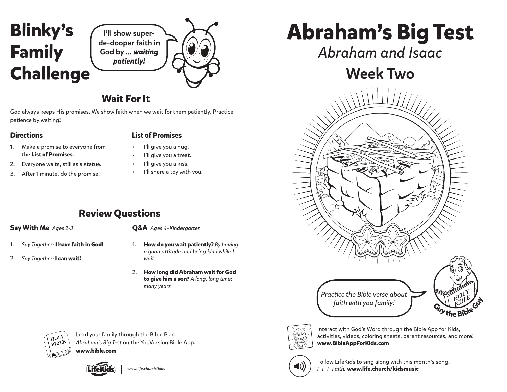



## **Wait For It**

God always keeps His promises. We show faith when we wait for them patiently. Practice patience by waiting!

#### **Directions List of Promises**

- 1. Make a promise to everyone from the **List of Promises**.
- 2. Everyone waits, still as a statue.
- 3. After 1 minute, do the promise!
- I'll give you a hug.
- I'll give you a treat.
- I'll give you a kiss.
	- I'll share a toy with you.

## **Review Questions**

## **Say With Me** *Ages 2-3*

- 1. *Say Together:* **I have faith in God!**
- 2. *Say Together:* **I can wait!**

## **Q&A** *Ages 4–Kindergarten*

- 1. **How do you wait patiently?** *By having a good attitude and being kind while I wait*
- 2. **How long did Abraham wait for God to give him a son?** *A long, long time; many years*

HOLY **BIBLE** 

Lead your family through the Bible Plan *Abraham's Big Test* on the YouVersion Bible App. **www.bible.com**



**Abraham's Big Test**

*Abraham and Isaac*

# Week Two





Interact with God's Word through the Bible App for Kids, activities, videos, coloring sheets, parent resources, and more! **www.BibleAppForKids.com**



Follow LifeKids to sing along with this month's song, *www.life.church/kids F-F-F-Faith.* **www.life.church/kidsmusic**